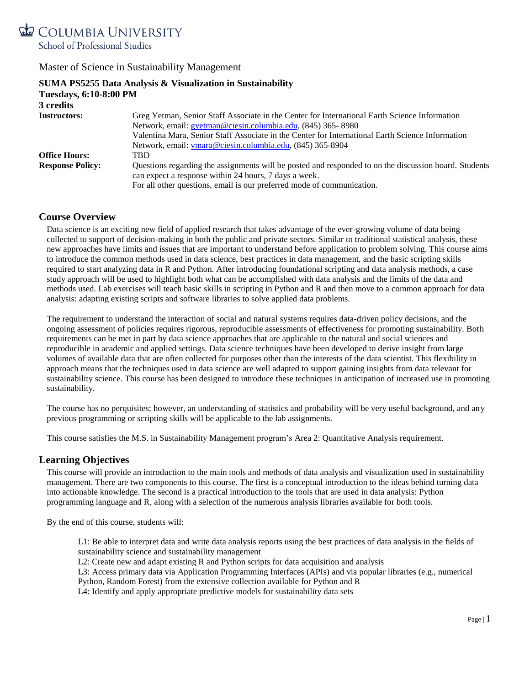

|                               | SUMA PS5255 Data Analysis & Visualization in Sustainability                                           |  |
|-------------------------------|-------------------------------------------------------------------------------------------------------|--|
| <b>Tuesdays, 6:10-8:00 PM</b> |                                                                                                       |  |
| 3 credits                     |                                                                                                       |  |
| <b>Instructors:</b>           | Greg Yetman, Senior Staff Associate in the Center for International Earth Science Information         |  |
|                               | Network, email: gyetman@ciesin.columbia.edu, (845) 365-8980                                           |  |
|                               | Valentina Mara, Senior Staff Associate in the Center for International Earth Science Information      |  |
|                               | Network, email: vmara@ciesin.columbia.edu, (845) 365-8904                                             |  |
| <b>Office Hours:</b>          | TBD                                                                                                   |  |
| <b>Response Policy:</b>       | Questions regarding the assignments will be posted and responded to on the discussion board. Students |  |
|                               | can expect a response within 24 hours, 7 days a week.                                                 |  |
|                               | For all other questions, email is our preferred mode of communication.                                |  |

# **Course Overview**

Data science is an exciting new field of applied research that takes advantage of the ever-growing volume of data being collected to support of decision-making in both the public and private sectors. Similar to traditional statistical analysis, these new approaches have limits and issues that are important to understand before application to problem solving. This course aims to introduce the common methods used in data science, best practices in data management, and the basic scripting skills required to start analyzing data in R and Python. After introducing foundational scripting and data analysis methods, a case study approach will be used to highlight both what can be accomplished with data analysis and the limits of the data and methods used. Lab exercises will teach basic skills in scripting in Python and R and then move to a common approach for data analysis: adapting existing scripts and software libraries to solve applied data problems.

The requirement to understand the interaction of social and natural systems requires data-driven policy decisions, and the ongoing assessment of policies requires rigorous, reproducible assessments of effectiveness for promoting sustainability. Both requirements can be met in part by data science approaches that are applicable to the natural and social sciences and reproducible in academic and applied settings. Data science techniques have been developed to derive insight from large volumes of available data that are often collected for purposes other than the interests of the data scientist. This flexibility in approach means that the techniques used in data science are well adapted to support gaining insights from data relevant for sustainability science. This course has been designed to introduce these techniques in anticipation of increased use in promoting sustainability.

The course has no perquisites; however, an understanding of statistics and probability will be very useful background, and any previous programming or scripting skills will be applicable to the lab assignments.

This course satisfies the M.S. in Sustainability Management program's Area 2: Quantitative Analysis requirement.

### **Learning Objectives**

This course will provide an introduction to the main tools and methods of data analysis and visualization used in sustainability management. There are two components to this course. The first is a conceptual introduction to the ideas behind turning data into actionable knowledge. The second is a practical introduction to the tools that are used in data analysis: Python programming language and R, along with a selection of the numerous analysis libraries available for both tools.

By the end of this course, students will:

L1: Be able to interpret data and write data analysis reports using the best practices of data analysis in the fields of sustainability science and sustainability management

L2: Create new and adapt existing R and Python scripts for data acquisition and analysis

L3: Access primary data via Application Programming Interfaces (APIs) and via popular libraries (e.g., numerical Python, Random Forest) from the extensive collection available for Python and R

L4: Identify and apply appropriate predictive models for sustainability data sets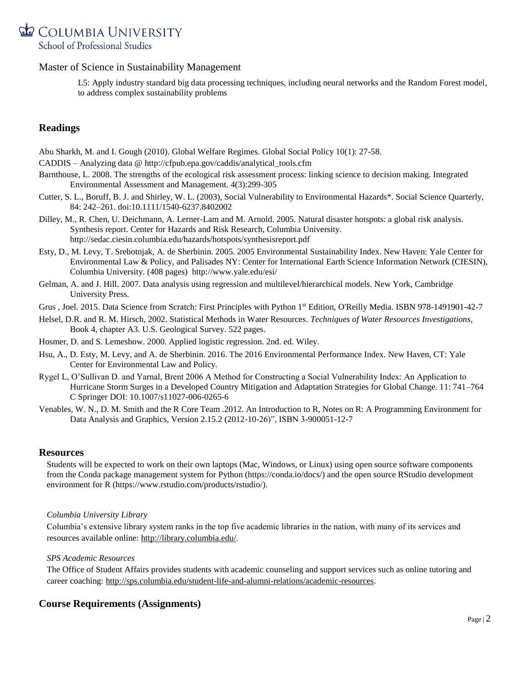

L5: Apply industry standard big data processing techniques, including neural networks and the Random Forest model, to address complex sustainability problems

# **Readings**

Abu Sharkh, M. and I. Gough (2010). Global Welfare Regimes. Global Social Policy 10(1): 27-58.

CADDIS – Analyzing data @ [http://cfpub.epa.gov/caddis/analytical\\_tools.cfm](http://cfpub.epa.gov/caddis/analytical_tools.cfm)

- Barnthouse, L. 2008. The strengths of the ecological risk assessment process: linking science to decision making. Integrated Environmental Assessment and Management. 4(3):299-305
- Cutter, S. L., Boruff, B. J. and Shirley, W. L. (2003), Social Vulnerability to Environmental Hazards\*. Social Science Quarterly, 84: 242–261. doi:10.1111/1540-6237.8402002
- Dilley, M., R. Chen, U. Deichmann, A. Lerner-Lam and M. Arnold. 2005. Natural disaster hotspots: a global risk analysis. Synthesis report. Center for Hazards and Risk Research, Columbia University. <http://sedac.ciesin.columbia.edu/hazards/hotspots/synthesisreport.pdf>
- Esty, D., M. Levy, T. Srebotnjak, A. de Sherbinin. 2005. 2005 Environmental Sustainability Index. New Haven: Yale Center for Environmental Law & Policy, and Palisades NY: Center for International Earth Science Information Network (CIESIN), Columbia University. (408 pages) http://www.yale.edu/esi/
- Gelman, A. and J. Hill. 2007. Data analysis using regression and multilevel/hierarchical models. New York, Cambridge University Press.
- Grus , [Joel. 2015.](https://www.goodreads.com/author/show/2966563.Joel_Grus) Data Science from Scratch: First Principles with Python 1st Edition, O'Reilly Media. ISBN 978-1491901-42-7
- Helsel, D.R. and R. M. Hirsch, 2002. Statistical Methods in Water Resources. *Techniques of Water Resources Investigations*, Book 4, chapter A3. U.S. Geological Survey. 522 pages.
- Hosmer, D. and S. Lemeshow. 2000. Applied logistic regression. 2nd. ed. Wiley.
- Hsu, A., D. Esty, M. Levy, and A. de Sherbinin. 2016. The 2016 Environmental Performance Index. New Haven, CT: Yale Center for Environmental Law and Policy.
- Rygel L, O'Sullivan D. and Yarnal, Brent 2006 A Method for Constructing a Social Vulnerability Index: An Application to Hurricane Storm Surges in a Developed Country Mitigation and Adaptation Strategies for Global Change. 11: 741–764 C Springer DOI: 10.1007/s11027-006-0265-6
- Venables, W. N., D. M. Smith and the R Core Team .2012. An Introduction to R, Notes on R: A Programming Environment for Data Analysis and Graphics, Version 2.15.2 (2012-10-26)", ISBN 3-900051-12-7

### **Resources**

Students will be expected to work on their own laptops (Mac, Windows, or Linux) using open source software components from the Conda package management system for Python (https://conda.io/docs/) and the open source RStudio development environment for R (https://www.rstudio.com/products/rstudio/).

### *Columbia University Library*

Columbia's extensive library system ranks in the top five academic libraries in the nation, with many of its services and resources available online: [http://library.columbia.edu/.](http://library.columbia.edu/)

### *SPS Academic Resources*

The Office of Student Affairs provides students with academic counseling and support services such as online tutoring and career coaching: [http://sps.columbia.edu/student-life-and-alumni-relations/academic-resources.](http://sps.columbia.edu/student-life-and-alumni-relations/academic-resources)

# **Course Requirements (Assignments)**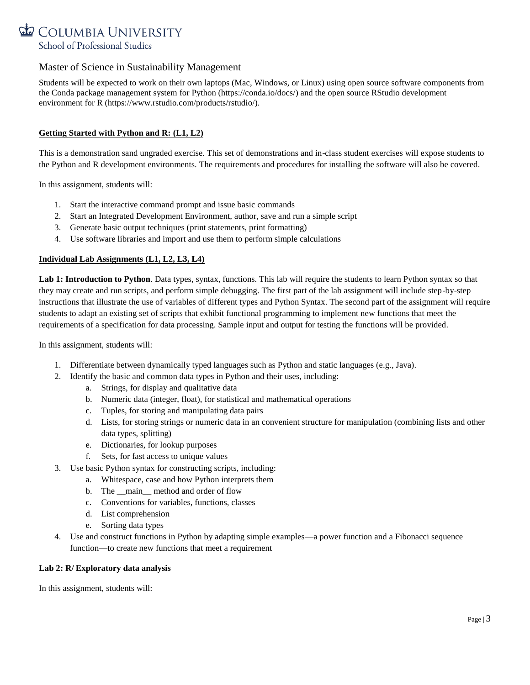

Students will be expected to work on their own laptops (Mac, Windows, or Linux) using open source software components from the Conda package management system for Python (https://conda.io/docs/) and the open source RStudio development environment for R (https://www.rstudio.com/products/rstudio/).

### **Getting Started with Python and R: (L1, L2)**

This is a demonstration sand ungraded exercise. This set of demonstrations and in-class student exercises will expose students to the Python and R development environments. The requirements and procedures for installing the software will also be covered.

In this assignment, students will:

- 1. Start the interactive command prompt and issue basic commands
- 2. Start an Integrated Development Environment, author, save and run a simple script
- 3. Generate basic output techniques (print statements, print formatting)
- 4. Use software libraries and import and use them to perform simple calculations

### **Individual Lab Assignments (L1, L2, L3, L4)**

Lab 1: Introduction to Python. Data types, syntax, functions. This lab will require the students to learn Python syntax so that they may create and run scripts, and perform simple debugging. The first part of the lab assignment will include step-by-step instructions that illustrate the use of variables of different types and Python Syntax. The second part of the assignment will require students to adapt an existing set of scripts that exhibit functional programming to implement new functions that meet the requirements of a specification for data processing. Sample input and output for testing the functions will be provided.

In this assignment, students will:

- 1. Differentiate between dynamically typed languages such as Python and static languages (e.g., Java).
- 2. Identify the basic and common data types in Python and their uses, including:
	- a. Strings, for display and qualitative data
	- b. Numeric data (integer, float), for statistical and mathematical operations
	- c. Tuples, for storing and manipulating data pairs
	- d. Lists, for storing strings or numeric data in an convenient structure for manipulation (combining lists and other data types, splitting)
	- e. Dictionaries, for lookup purposes
	- f. Sets, for fast access to unique values
- 3. Use basic Python syntax for constructing scripts, including:
	- a. Whitespace, case and how Python interprets them
		- b. The main method and order of flow
		- c. Conventions for variables, functions, classes
		- d. List comprehension
		- e. Sorting data types
- 4. Use and construct functions in Python by adapting simple examples—a power function and a Fibonacci sequence function—to create new functions that meet a requirement

### **Lab 2: R/ Exploratory data analysis**

In this assignment, students will: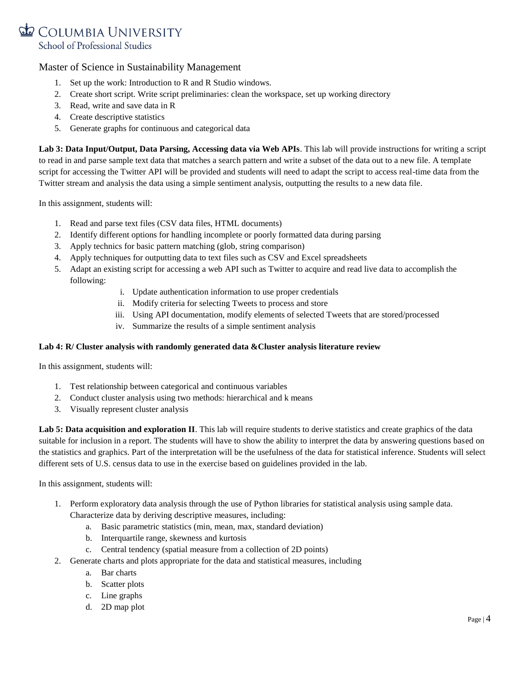

- 1. Set up the work: Introduction to R and R Studio windows.
- 2. Create short script. Write script preliminaries: clean the workspace, set up working directory
- 3. Read, write and save data in R
- 4. Create descriptive statistics
- 5. Generate graphs for continuous and categorical data

**Lab 3: Data Input/Output, Data Parsing, Accessing data via Web APIs**. This lab will provide instructions for writing a script to read in and parse sample text data that matches a search pattern and write a subset of the data out to a new file. A template script for accessing the Twitter API will be provided and students will need to adapt the script to access real-time data from the Twitter stream and analysis the data using a simple sentiment analysis, outputting the results to a new data file.

In this assignment, students will:

- 1. Read and parse text files (CSV data files, HTML documents)
- 2. Identify different options for handling incomplete or poorly formatted data during parsing
- 3. Apply technics for basic pattern matching (glob, string comparison)
- 4. Apply techniques for outputting data to text files such as CSV and Excel spreadsheets
- 5. Adapt an existing script for accessing a web API such as Twitter to acquire and read live data to accomplish the following:
	- i. Update authentication information to use proper credentials
	- ii. Modify criteria for selecting Tweets to process and store
	- iii. Using API documentation, modify elements of selected Tweets that are stored/processed
	- iv. Summarize the results of a simple sentiment analysis

### **Lab 4: R/ Cluster analysis with randomly generated data &Cluster analysis literature review**

In this assignment, students will:

- 1. Test relationship between categorical and continuous variables
- 2. Conduct cluster analysis using two methods: hierarchical and k means
- 3. Visually represent cluster analysis

Lab 5: Data acquisition and exploration II. This lab will require students to derive statistics and create graphics of the data suitable for inclusion in a report. The students will have to show the ability to interpret the data by answering questions based on the statistics and graphics. Part of the interpretation will be the usefulness of the data for statistical inference. Students will select different sets of U.S. census data to use in the exercise based on guidelines provided in the lab.

In this assignment, students will:

- 1. Perform exploratory data analysis through the use of Python libraries for statistical analysis using sample data. Characterize data by deriving descriptive measures, including:
	- a. Basic parametric statistics (min, mean, max, standard deviation)
	- b. Interquartile range, skewness and kurtosis
	- c. Central tendency (spatial measure from a collection of 2D points)
- 2. Generate charts and plots appropriate for the data and statistical measures, including
	- a. Bar charts
	- b. Scatter plots
	- c. Line graphs
	- d. 2D map plot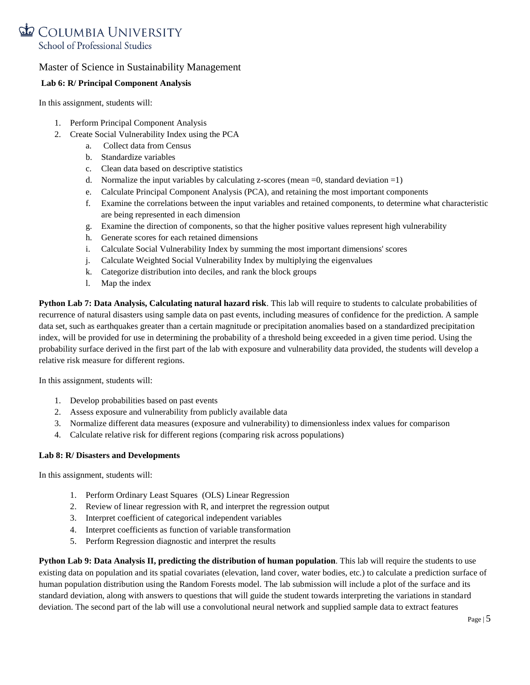# COLUMBIA UNIVERSITY School of Professional Studies

# Master of Science in Sustainability Management

## **Lab 6: R/ Principal Component Analysis**

In this assignment, students will:

- 1. Perform Principal Component Analysis
- 2. Create Social Vulnerability Index using the PCA
	- a. Collect data from Census
	- b. Standardize variables
	- c. Clean data based on descriptive statistics
	- d. Normalize the input variables by calculating z-scores (mean  $=0$ , standard deviation  $=1$ )
	- e. Calculate Principal Component Analysis (PCA), and retaining the most important components
	- f. Examine the correlations between the input variables and retained components, to determine what characteristic are being represented in each dimension
	- g. Examine the direction of components, so that the higher positive values represent high vulnerability
	- h. Generate scores for each retained dimensions
	- i. Calculate Social Vulnerability Index by summing the most important dimensions' scores
	- j. Calculate Weighted Social Vulnerability Index by multiplying the eigenvalues
	- k. Categorize distribution into deciles, and rank the block groups
	- l. Map the index

**Python Lab 7: Data Analysis, Calculating natural hazard risk**. This lab will require to students to calculate probabilities of recurrence of natural disasters using sample data on past events, including measures of confidence for the prediction. A sample data set, such as earthquakes greater than a certain magnitude or precipitation anomalies based on a standardized precipitation index, will be provided for use in determining the probability of a threshold being exceeded in a given time period. Using the probability surface derived in the first part of the lab with exposure and vulnerability data provided, the students will develop a relative risk measure for different regions.

In this assignment, students will:

- 1. Develop probabilities based on past events
- 2. Assess exposure and vulnerability from publicly available data
- 3. Normalize different data measures (exposure and vulnerability) to dimensionless index values for comparison
- 4. Calculate relative risk for different regions (comparing risk across populations)

### **Lab 8: R/ Disasters and Developments**

In this assignment, students will:

- 1. Perform Ordinary Least Squares (OLS) Linear Regression
- 2. Review of linear regression with R, and interpret the regression output
- 3. Interpret coefficient of categorical independent variables
- 4. Interpret coefficients as function of variable transformation
- 5. Perform Regression diagnostic and interpret the results

**Python Lab 9: Data Analysis II, predicting the distribution of human population**. This lab will require the students to use existing data on population and its spatial covariates (elevation, land cover, water bodies, etc.) to calculate a prediction surface of human population distribution using the Random Forests model. The lab submission will include a plot of the surface and its standard deviation, along with answers to questions that will guide the student towards interpreting the variations in standard deviation. The second part of the lab will use a convolutional neural network and supplied sample data to extract features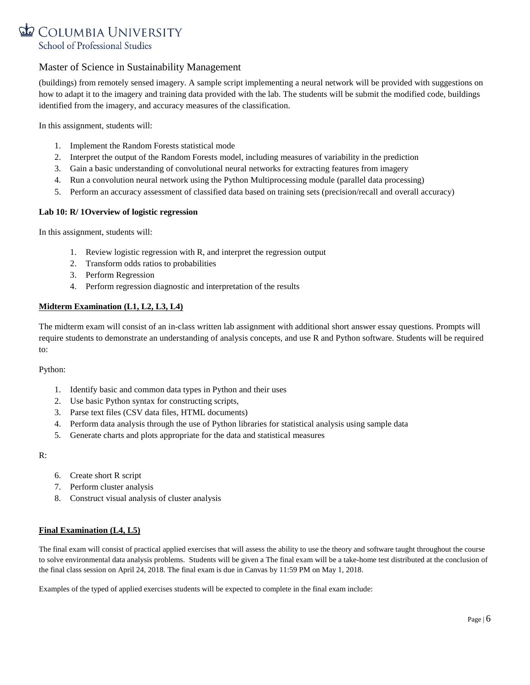

(buildings) from remotely sensed imagery. A sample script implementing a neural network will be provided with suggestions on how to adapt it to the imagery and training data provided with the lab. The students will be submit the modified code, buildings identified from the imagery, and accuracy measures of the classification.

In this assignment, students will:

- 1. Implement the Random Forests statistical mode
- 2. Interpret the output of the Random Forests model, including measures of variability in the prediction
- 3. Gain a basic understanding of convolutional neural networks for extracting features from imagery
- 4. Run a convolution neural network using the Python Multiprocessing module (parallel data processing)
- 5. Perform an accuracy assessment of classified data based on training sets (precision/recall and overall accuracy)

### **Lab 10: R/ 1Overview of logistic regression**

In this assignment, students will:

- 1. Review logistic regression with R, and interpret the regression output
- 2. Transform odds ratios to probabilities
- 3. Perform Regression
- 4. Perform regression diagnostic and interpretation of the results

### **Midterm Examination (L1, L2, L3, L4)**

The midterm exam will consist of an in-class written lab assignment with additional short answer essay questions. Prompts will require students to demonstrate an understanding of analysis concepts, and use R and Python software. Students will be required to:

### Python:

- 1. Identify basic and common data types in Python and their uses
- 2. Use basic Python syntax for constructing scripts,
- 3. Parse text files (CSV data files, HTML documents)
- 4. Perform data analysis through the use of Python libraries for statistical analysis using sample data
- 5. Generate charts and plots appropriate for the data and statistical measures

R:

- 6. Create short R script
- 7. Perform cluster analysis
- 8. Construct visual analysis of cluster analysis

### **Final Examination (L4, L5)**

The final exam will consist of practical applied exercises that will assess the ability to use the theory and software taught throughout the course to solve environmental data analysis problems. Students will be given a The final exam will be a take-home test distributed at the conclusion of the final class session on April 24, 2018. The final exam is due in Canvas by 11:59 PM on May 1, 2018.

Examples of the typed of applied exercises students will be expected to complete in the final exam include: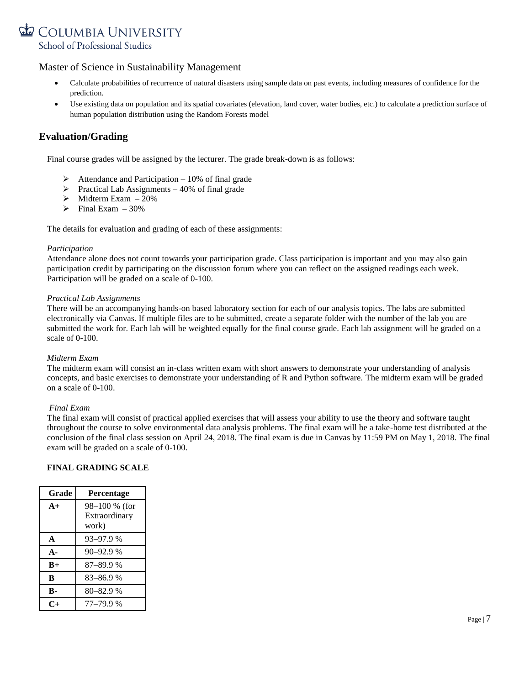

- Calculate probabilities of recurrence of natural disasters using sample data on past events, including measures of confidence for the prediction.
- Use existing data on population and its spatial covariates (elevation, land cover, water bodies, etc.) to calculate a prediction surface of human population distribution using the Random Forests model

# **Evaluation/Grading**

Final course grades will be assigned by the lecturer. The grade break-down is as follows:

- $\triangleright$  Attendance and Participation 10% of final grade
- $\triangleright$  Practical Lab Assignments 40% of final grade
- $\triangleright$  Midterm Exam 20%
- $\triangleright$  Final Exam 30%

The details for evaluation and grading of each of these assignments:

### *Participation*

Attendance alone does not count towards your participation grade. Class participation is important and you may also gain participation credit by participating on the discussion forum where you can reflect on the assigned readings each week. Participation will be graded on a scale of 0-100.

### *Practical Lab Assignments*

There will be an accompanying hands-on based laboratory section for each of our analysis topics. The labs are submitted electronically via Canvas. If multiple files are to be submitted, create a separate folder with the number of the lab you are submitted the work for. Each lab will be weighted equally for the final course grade. Each lab assignment will be graded on a scale of 0-100.

### *Midterm Exam*

The midterm exam will consist an in-class written exam with short answers to demonstrate your understanding of analysis concepts, and basic exercises to demonstrate your understanding of R and Python software. The midterm exam will be graded on a scale of 0-100.

### *Final Exam*

The final exam will consist of practical applied exercises that will assess your ability to use the theory and software taught throughout the course to solve environmental data analysis problems. The final exam will be a take-home test distributed at the conclusion of the final class session on April 24, 2018. The final exam is due in Canvas by 11:59 PM on May 1, 2018. The final exam will be graded on a scale of 0-100.

### **FINAL GRADING SCALE**

| Grade        | Percentage    |
|--------------|---------------|
| $A+$         | 98-100 % (for |
|              | Extraordinary |
|              | work)         |
| $\mathbf{A}$ | 93-97.9 %     |
| $\mathbf{A}$ | $90 - 92.9%$  |
| $B+$         | 87-89.9%      |
| B            | 83–86.9 %     |
| B-           | $80 - 82.9$ % |
|              | 77-79.9%      |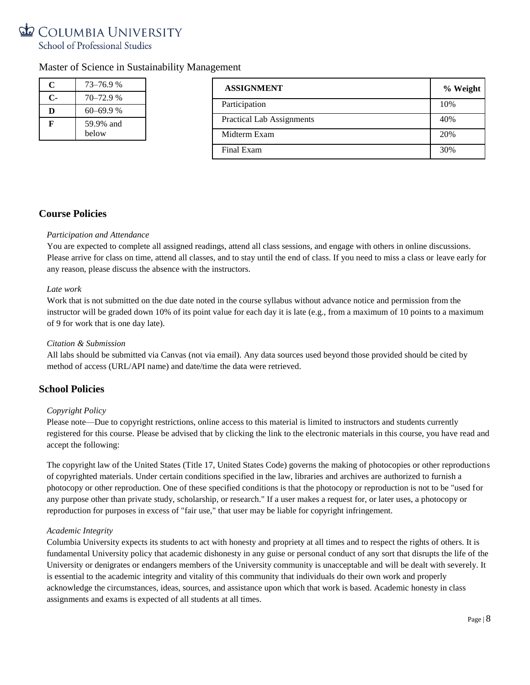# COLUMBIA UNIVERSITY School of Professional Studies

# Master of Science in Sustainability Management

| C              | 73–76.9 %    | <b>ASSIGNMENT</b>                | % Weight |
|----------------|--------------|----------------------------------|----------|
| $\mathbf{C}$ - | $70 - 72.9%$ |                                  |          |
| D              | 60–69.9 %    | Participation                    | 10%      |
| F              | 59.9% and    | <b>Practical Lab Assignments</b> | 40%      |
| below          |              | Midterm Exam                     | 20%      |
|                |              | Final Exam                       | 30%      |

# **Course Policies**

**C-** 70–72.9 %

### *Participation and Attendance*

You are expected to complete all assigned readings, attend all class sessions, and engage with others in online discussions. Please arrive for class on time, attend all classes, and to stay until the end of class. If you need to miss a class or leave early for any reason, please discuss the absence with the instructors.

### *Late work*

Work that is not submitted on the due date noted in the course syllabus without advance notice and permission from the instructor will be graded down 10% of its point value for each day it is late (e.g., from a maximum of 10 points to a maximum of 9 for work that is one day late).

### *Citation & Submission*

All labs should be submitted via Canvas (not via email). Any data sources used beyond those provided should be cited by method of access (URL/API name) and date/time the data were retrieved.

# **School Policies**

### *Copyright Policy*

Please note—Due to copyright restrictions, online access to this material is limited to instructors and students currently registered for this course. Please be advised that by clicking the link to the electronic materials in this course, you have read and accept the following:

The copyright law of the United States (Title 17, United States Code) governs the making of photocopies or other reproductions of copyrighted materials. Under certain conditions specified in the law, libraries and archives are authorized to furnish a photocopy or other reproduction. One of these specified conditions is that the photocopy or reproduction is not to be "used for any purpose other than private study, scholarship, or research." If a user makes a request for, or later uses, a photocopy or reproduction for purposes in excess of "fair use," that user may be liable for copyright infringement.

### *Academic Integrity*

Columbia University expects its students to act with honesty and propriety at all times and to respect the rights of others. It is fundamental University policy that academic dishonesty in any guise or personal conduct of any sort that disrupts the life of the University or denigrates or endangers members of the University community is unacceptable and will be dealt with severely. It is essential to the academic integrity and vitality of this community that individuals do their own work and properly acknowledge the circumstances, ideas, sources, and assistance upon which that work is based. Academic honesty in class assignments and exams is expected of all students at all times.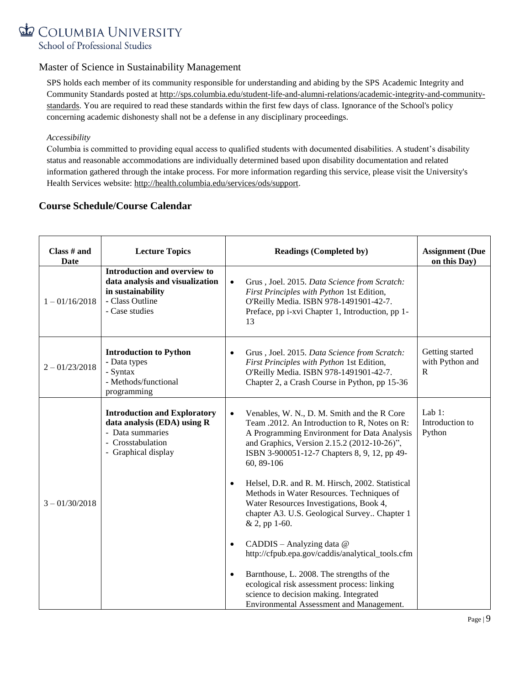

SPS holds each member of its community responsible for understanding and abiding by the SPS Academic Integrity and Community Standards posted at [http://sps.columbia.edu/student-life-and-alumni-relations/academic-integrity-and-community](http://sps.columbia.edu/student-life-and-alumni-relations/academic-integrity-and-community-standards)[standards.](http://sps.columbia.edu/student-life-and-alumni-relations/academic-integrity-and-community-standards) You are required to read these standards within the first few days of class. Ignorance of the School's policy concerning academic dishonesty shall not be a defense in any disciplinary proceedings.

### *Accessibility*

Columbia is committed to providing equal access to qualified students with documented disabilities. A student's disability status and reasonable accommodations are individually determined based upon disability documentation and related information gathered through the intake process. For more information regarding this service, please visit the University's Health Services website: [http://health.columbia.edu/services/ods/support.](http://health.columbia.edu/services/ods/support)

# **Course Schedule/Course Calendar**

| Class # and<br>Date | <b>Lecture Topics</b>                                                                                                              | <b>Readings (Completed by)</b>                                                                                                                                                                                                                                        | <b>Assignment</b> (Due<br>on this Day)             |
|---------------------|------------------------------------------------------------------------------------------------------------------------------------|-----------------------------------------------------------------------------------------------------------------------------------------------------------------------------------------------------------------------------------------------------------------------|----------------------------------------------------|
| $1 - 01/16/2018$    | Introduction and overview to<br>data analysis and visualization<br>in sustainability<br>- Class Outline<br>- Case studies          | Grus, Joel. 2015. Data Science from Scratch:<br>$\bullet$<br>First Principles with Python 1st Edition,<br>O'Reilly Media. ISBN 978-1491901-42-7.<br>Preface, pp i-xvi Chapter 1, Introduction, pp 1-<br>13                                                            |                                                    |
| $2 - 01/23/2018$    | <b>Introduction to Python</b><br>- Data types<br>- Syntax<br>- Methods/functional<br>programming                                   | Grus, Joel. 2015. Data Science from Scratch:<br>$\bullet$<br>First Principles with Python 1st Edition,<br>O'Reilly Media. ISBN 978-1491901-42-7.<br>Chapter 2, a Crash Course in Python, pp 15-36                                                                     | Getting started<br>with Python and<br>$\mathbb{R}$ |
|                     | <b>Introduction and Exploratory</b><br>data analysis (EDA) using R<br>- Data summaries<br>- Crosstabulation<br>- Graphical display | Venables, W. N., D. M. Smith and the R Core<br>$\bullet$<br>Team .2012. An Introduction to R, Notes on R:<br>A Programming Environment for Data Analysis<br>and Graphics, Version 2.15.2 (2012-10-26)",<br>ISBN 3-900051-12-7 Chapters 8, 9, 12, pp 49-<br>60, 89-106 | Lab $1$ :<br>Introduction to<br>Python             |
| $3 - 01/30/2018$    |                                                                                                                                    | Helsel, D.R. and R. M. Hirsch, 2002. Statistical<br>$\bullet$<br>Methods in Water Resources. Techniques of<br>Water Resources Investigations, Book 4,<br>chapter A3. U.S. Geological Survey Chapter 1<br>& 2, pp 1-60.                                                |                                                    |
|                     |                                                                                                                                    | CADDIS - Analyzing data @<br>$\bullet$<br>http://cfpub.epa.gov/caddis/analytical_tools.cfm                                                                                                                                                                            |                                                    |
|                     |                                                                                                                                    | Barnthouse, L. 2008. The strengths of the<br>$\bullet$<br>ecological risk assessment process: linking<br>science to decision making. Integrated<br>Environmental Assessment and Management.                                                                           |                                                    |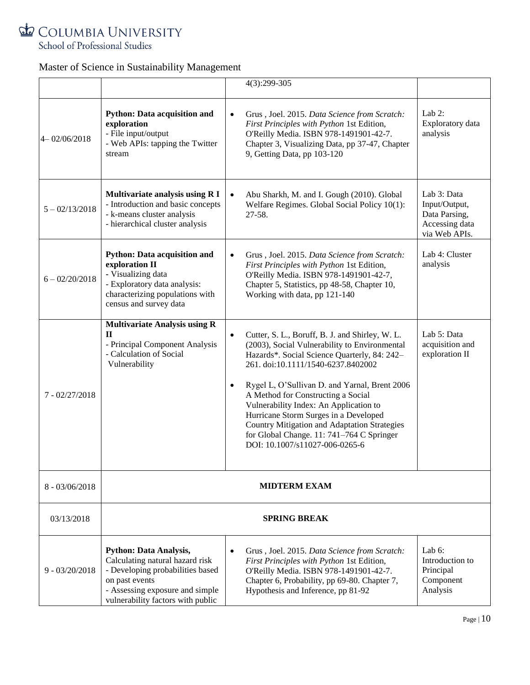

|                  |                                                                                                                                                                                                |                        | 4(3):299-305                                                                                                                                                                                                                                                                                                                                                                                                                                                                                           |                                                                                  |
|------------------|------------------------------------------------------------------------------------------------------------------------------------------------------------------------------------------------|------------------------|--------------------------------------------------------------------------------------------------------------------------------------------------------------------------------------------------------------------------------------------------------------------------------------------------------------------------------------------------------------------------------------------------------------------------------------------------------------------------------------------------------|----------------------------------------------------------------------------------|
| $4 - 02/06/2018$ | <b>Python: Data acquisition and</b><br>exploration<br>- File input/output<br>- Web APIs: tapping the Twitter<br>stream                                                                         | $\bullet$              | Grus, Joel. 2015. Data Science from Scratch:<br>First Principles with Python 1st Edition,<br>O'Reilly Media. ISBN 978-1491901-42-7.<br>Chapter 3, Visualizing Data, pp 37-47, Chapter<br>9, Getting Data, pp 103-120                                                                                                                                                                                                                                                                                   | Lab $2$ :<br>Exploratory data<br>analysis                                        |
| $5 - 02/13/2018$ | Multivariate analysis using R I<br>- Introduction and basic concepts<br>- k-means cluster analysis<br>- hierarchical cluster analysis                                                          | $\bullet$              | Abu Sharkh, M. and I. Gough (2010). Global<br>Welfare Regimes. Global Social Policy 10(1):<br>27-58.                                                                                                                                                                                                                                                                                                                                                                                                   | Lab 3: Data<br>Input/Output,<br>Data Parsing,<br>Accessing data<br>via Web APIs. |
| $6 - 02/20/2018$ | <b>Python: Data acquisition and</b><br>exploration II<br>- Visualizing data<br>- Exploratory data analysis:<br>characterizing populations with<br>census and survey data                       | $\bullet$              | Grus, Joel. 2015. Data Science from Scratch:<br>First Principles with Python 1st Edition,<br>O'Reilly Media. ISBN 978-1491901-42-7,<br>Chapter 5, Statistics, pp 48-58, Chapter 10,<br>Working with data, pp 121-140                                                                                                                                                                                                                                                                                   | Lab 4: Cluster<br>analysis                                                       |
| $7 - 02/27/2018$ | <b>Multivariate Analysis using R</b><br>$\Pi$<br>- Principal Component Analysis<br>- Calculation of Social<br>Vulnerability                                                                    | $\bullet$<br>$\bullet$ | Cutter, S. L., Boruff, B. J. and Shirley, W. L.<br>(2003), Social Vulnerability to Environmental<br>Hazards*. Social Science Quarterly, 84: 242-<br>261. doi:10.1111/1540-6237.8402002<br>Rygel L, O'Sullivan D. and Yarnal, Brent 2006<br>A Method for Constructing a Social<br>Vulnerability Index: An Application to<br>Hurricane Storm Surges in a Developed<br><b>Country Mitigation and Adaptation Strategies</b><br>for Global Change. 11: 741-764 C Springer<br>DOI: 10.1007/s11027-006-0265-6 | Lab 5: Data<br>acquisition and<br>exploration II                                 |
| $8 - 03/06/2018$ | <b>MIDTERM EXAM</b>                                                                                                                                                                            |                        |                                                                                                                                                                                                                                                                                                                                                                                                                                                                                                        |                                                                                  |
| 03/13/2018       | <b>SPRING BREAK</b>                                                                                                                                                                            |                        |                                                                                                                                                                                                                                                                                                                                                                                                                                                                                                        |                                                                                  |
| $9 - 03/20/2018$ | <b>Python: Data Analysis,</b><br>Calculating natural hazard risk<br>- Developing probabilities based<br>on past events<br>- Assessing exposure and simple<br>vulnerability factors with public | $\bullet$              | Grus, Joel. 2015. Data Science from Scratch:<br>First Principles with Python 1st Edition,<br>O'Reilly Media. ISBN 978-1491901-42-7.<br>Chapter 6, Probability, pp 69-80. Chapter 7,<br>Hypothesis and Inference, pp 81-92                                                                                                                                                                                                                                                                              | Lab $6$ :<br>Introduction to<br>Principal<br>Component<br>Analysis               |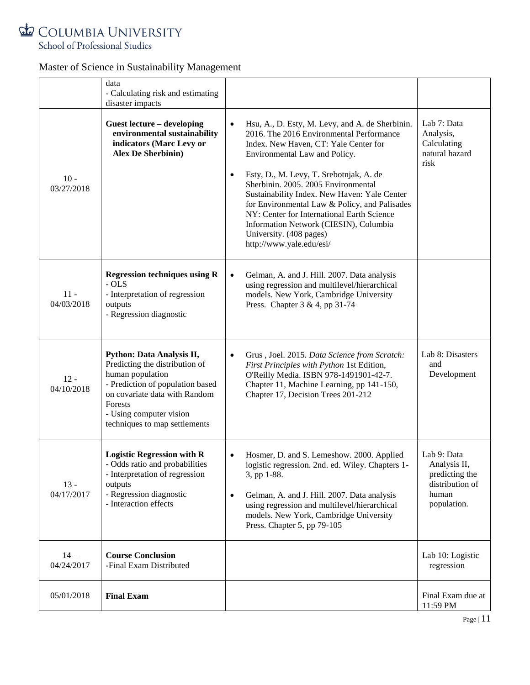

|                      | data<br>- Calculating risk and estimating<br>disaster impacts                                                                                                                                                               |                                                                                                                                                                                                                                                                                                                                                                                                                                                                                                                                   |                                                                                          |
|----------------------|-----------------------------------------------------------------------------------------------------------------------------------------------------------------------------------------------------------------------------|-----------------------------------------------------------------------------------------------------------------------------------------------------------------------------------------------------------------------------------------------------------------------------------------------------------------------------------------------------------------------------------------------------------------------------------------------------------------------------------------------------------------------------------|------------------------------------------------------------------------------------------|
| $10 -$<br>03/27/2018 | Guest lecture - developing<br>environmental sustainability<br>indicators (Marc Levy or<br><b>Alex De Sherbinin)</b>                                                                                                         | Hsu, A., D. Esty, M. Levy, and A. de Sherbinin.<br>$\bullet$<br>2016. The 2016 Environmental Performance<br>Index. New Haven, CT: Yale Center for<br>Environmental Law and Policy.<br>Esty, D., M. Levy, T. Srebotnjak, A. de<br>$\bullet$<br>Sherbinin. 2005. 2005 Environmental<br>Sustainability Index. New Haven: Yale Center<br>for Environmental Law & Policy, and Palisades<br>NY: Center for International Earth Science<br>Information Network (CIESIN), Columbia<br>University. (408 pages)<br>http://www.yale.edu/esi/ | Lab 7: Data<br>Analysis,<br>Calculating<br>natural hazard<br>risk                        |
| $11 -$<br>04/03/2018 | <b>Regression techniques using R</b><br>$-OLS$<br>- Interpretation of regression<br>outputs<br>- Regression diagnostic                                                                                                      | Gelman, A. and J. Hill. 2007. Data analysis<br>$\bullet$<br>using regression and multilevel/hierarchical<br>models. New York, Cambridge University<br>Press. Chapter 3 & 4, pp 31-74                                                                                                                                                                                                                                                                                                                                              |                                                                                          |
| $12 -$<br>04/10/2018 | Python: Data Analysis II,<br>Predicting the distribution of<br>human population<br>- Prediction of population based<br>on covariate data with Random<br>Forests<br>- Using computer vision<br>techniques to map settlements | Grus, Joel. 2015. Data Science from Scratch:<br>First Principles with Python 1st Edition,<br>O'Reilly Media. ISBN 978-1491901-42-7.<br>Chapter 11, Machine Learning, pp 141-150,<br>Chapter 17, Decision Trees 201-212                                                                                                                                                                                                                                                                                                            | Lab 8: Disasters<br>and<br>Development                                                   |
| $13 -$<br>04/17/2017 | <b>Logistic Regression with R</b><br>- Odds ratio and probabilities<br>- Interpretation of regression<br>outputs<br>- Regression diagnostic<br>- Interaction effects                                                        | Hosmer, D. and S. Lemeshow. 2000. Applied<br>logistic regression. 2nd. ed. Wiley. Chapters 1-<br>3, pp 1-88.<br>Gelman, A. and J. Hill. 2007. Data analysis<br>$\bullet$<br>using regression and multilevel/hierarchical<br>models. New York, Cambridge University<br>Press. Chapter 5, pp 79-105                                                                                                                                                                                                                                 | Lab 9: Data<br>Analysis II,<br>predicting the<br>distribution of<br>human<br>population. |
| $14 -$<br>04/24/2017 | <b>Course Conclusion</b><br>-Final Exam Distributed                                                                                                                                                                         |                                                                                                                                                                                                                                                                                                                                                                                                                                                                                                                                   | Lab 10: Logistic<br>regression                                                           |
| 05/01/2018           | <b>Final Exam</b>                                                                                                                                                                                                           |                                                                                                                                                                                                                                                                                                                                                                                                                                                                                                                                   | Final Exam due at<br>11:59 PM                                                            |

Page | 11